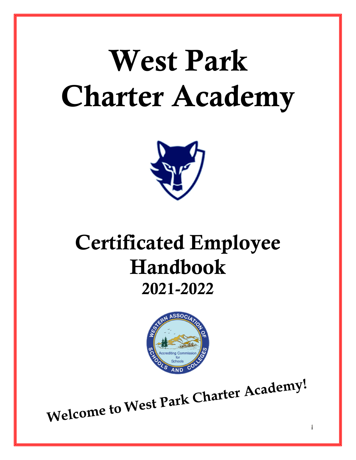# West Park Charter Academy



# Certificated Employee Handbook 2021-2022



Welcome to West Park Charter Academy!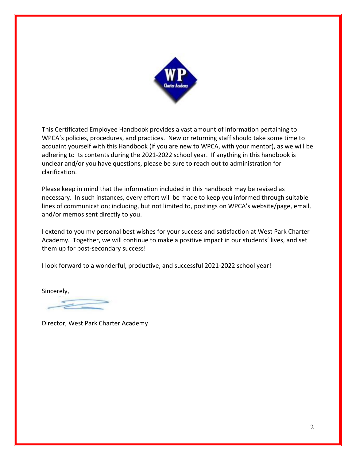

This Certificated Employee Handbook provides a vast amount of information pertaining to WPCA's policies, procedures, and practices. New or returning staff should take some time to acquaint yourself with this Handbook (if you are new to WPCA, with your mentor), as we will be adhering to its contents during the 2021-2022 school year. If anything in this handbook is unclear and/or you have questions, please be sure to reach out to administration for clarification.

Please keep in mind that the information included in this handbook may be revised as necessary. In such instances, every effort will be made to keep you informed through suitable lines of communication; including, but not limited to, postings on WPCA's website/page, email, and/or memos sent directly to you.

I extend to you my personal best wishes for your success and satisfaction at West Park Charter Academy. Together, we will continue to make a positive impact in our students' lives, and set them up for post-secondary success!

I look forward to a wonderful, productive, and successful 2021-2022 school year!

Sincerely,

Director, West Park Charter Academy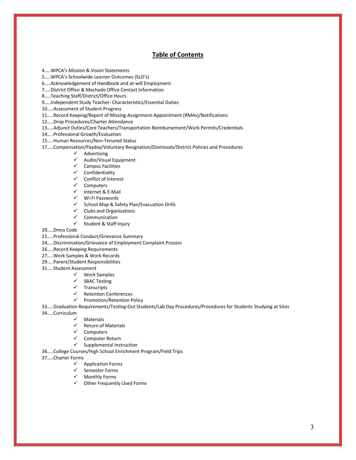#### Table of Contents

4…..WPCA's Mission & Vision Statements

5…..WPCA's Schoolwide Learner Outcomes (SLO's)

6…..Acknowledgement of Handbook and at-will Employment

7…..District Office & Machado Office Contact Information

8…..Teaching Staff/District/Office Hours

9…..Independent Study Teacher: Characteristics/Essential Duties

10…..Assessment of Student Progress

11…..Record Keeping/Report of Missing Assignment-Appointment (RMAs)/Notifications

12…..Drop Procedures/Charter Attendance

13…..Adjunct Duties/Core Teachers/Transportation Reimbursement/Work Permits/Credentials

14…..Professional Growth/Evaluation

15…..Human Resources/Non-Tenured Status

17…..Compensation/Payday/Voluntary Resignation/Dismissals/District Policies and Procedures

 $\checkmark$  Advertising<br> $\checkmark$  Audio/Visua

Audio/Visual Equipment

 $\checkmark$  Campus Facilities

 $\checkmark$  Confidentiality

 $\checkmark$  Conflict of Interest<br> $\checkmark$  Computers

Computers

 $\checkmark$  Internet & E-Mail

Wi-Fi Passwords

 $\checkmark$  School Map & Safety Plan/Evacuation Drills

 $\checkmark$  Clubs and Organizations<br> $\checkmark$  Communication

 $\checkmark$  Communication<br> $\checkmark$  Student & Staff

Student & Staff Injury

20…..Dress Code

21…..Professional Conduct/Grievance Summary

24…..Discrimination/Grievance of Employment Complaint Process

26…..Record Keeping Requirements

27…..Work Samples & Work Records

29…..Parent/Student Responsibilities

31…..Student Assessment

Work Samples

SBAC Testing

 $\checkmark$  Transcripts

 $\checkmark$  Retention Conferences

 $\checkmark$  Promotion/Retention Policy

33…..Graduation Requirements/Testing-Out Students/Lab Day Procedures/Procedures for Students Studying at Sites

34…..Curriculum

 $\checkmark$  Materials<br> $\checkmark$  Return of

Return of Materials

 $\checkmark$  Computers

 $\checkmark$  Computer Return

 $\checkmark$  Supplemental Instruction

36…..College Courses/High School Enrichment Program/Field Trips

37…..Charter Forms

- $\checkmark$  Application Forms
- $\checkmark$  Semester Forms
- $\checkmark$  Monthly Forms
- Other Frequently Used Forms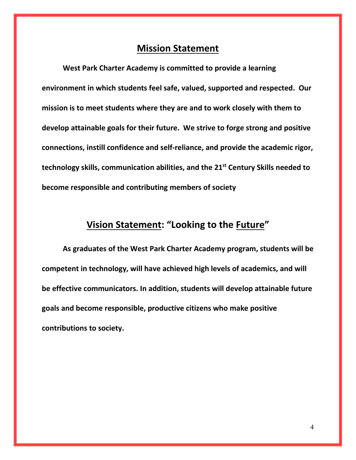# Mission Statement

West Park Charter Academy is committed to provide a learning environment in which students feel safe, valued, supported and respected. Our mission is to meet students where they are and to work closely with them to develop attainable goals for their future. We strive to forge strong and positive connections, instill confidence and self-reliance, and provide the academic rigor, technology skills, communication abilities, and the 21<sup>st</sup> Century Skills needed to become responsible and contributing members of society

# Vision Statement: "Looking to the Future"

As graduates of the West Park Charter Academy program, students will be competent in technology, will have achieved high levels of academics, and will be effective communicators. In addition, students will develop attainable future goals and become responsible, productive citizens who make positive contributions to society.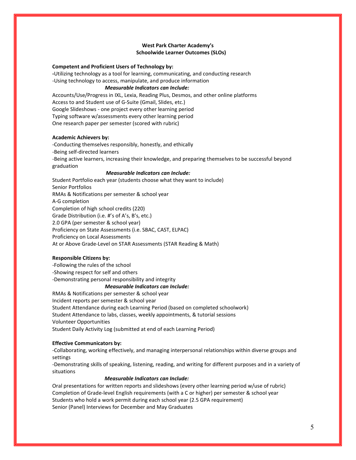#### West Park Charter Academy's Schoolwide Learner Outcomes (SLOs)

#### Competent and Proficient Users of Technology by:

-Utilizing technology as a tool for learning, communicating, and conducting research -Using technology to access, manipulate, and produce information

#### *Measurable Indicators can Include:*

Accounts/Use/Progress in IXL, Lexia, Reading Plus, Desmos, and other online platforms Access to and Student use of G-Suite (Gmail, Slides, etc.) Google Slideshows - one project every other learning period Typing software w/assessments every other learning period One research paper per semester (scored with rubric)

#### Academic Achievers by:

-Conducting themselves responsibly, honestly, and ethically -Being self-directed learners -Being active learners, increasing their knowledge, and preparing themselves to be successful beyond graduation

#### *Measurable Indicators can Include:*

Student Portfolio each year (students choose what they want to include) Senior Portfolios RMAs & Notifications per semester & school year A-G completion Completion of high school credits (220) Grade Distribution (i.e. #'s of A's, B's, etc.) 2.0 GPA (per semester & school year) Proficiency on State Assessments (i.e. SBAC, CAST, ELPAC) Proficiency on Local Assessments At or Above Grade-Level on STAR Assessments (STAR Reading & Math)

#### Responsible Citizens by:

-Following the rules of the school -Showing respect for self and others -Demonstrating personal responsibility and integrity  *Measurable Indicators can Include:*

RMAs & Notifications per semester & school year Incident reports per semester & school year Student Attendance during each Learning Period (based on completed schoolwork) Student Attendance to labs, classes, weekly appointments, & tutorial sessions Volunteer Opportunities Student Daily Activity Log (submitted at end of each Learning Period)

#### Effective Communicators by:

-Collaborating, working effectively, and managing interpersonal relationships within diverse groups and settings

-Demonstrating skills of speaking, listening, reading, and writing for different purposes and in a variety of situations

#### *Measurable Indicators can Include:*

Oral presentations for written reports and slideshows (every other learning period w/use of rubric) Completion of Grade-level English requirements (with a C or higher) per semester & school year Students who hold a work permit during each school year (2.5 GPA requirement) Senior (Panel) Interviews for December and May Graduates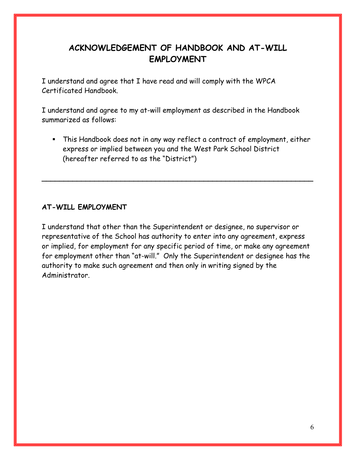# ACKNOWLEDGEMENT OF HANDBOOK AND AT-WILL EMPLOYMENT

I understand and agree that I have read and will comply with the WPCA Certificated Handbook.

I understand and agree to my at-will employment as described in the Handbook summarized as follows:

 This Handbook does not in any way reflect a contract of employment, either express or implied between you and the West Park School District (hereafter referred to as the "District")

\_\_\_\_\_\_\_\_\_\_\_\_\_\_\_\_\_\_\_\_\_\_\_\_\_\_\_\_\_\_\_\_\_\_\_\_\_\_\_\_\_\_\_\_\_\_\_\_\_\_\_\_\_\_\_\_\_\_\_\_\_\_

# AT-WILL EMPLOYMENT

I understand that other than the Superintendent or designee, no supervisor or representative of the School has authority to enter into any agreement, express or implied, for employment for any specific period of time, or make any agreement for employment other than "at-will." Only the Superintendent or designee has the authority to make such agreement and then only in writing signed by the Administrator.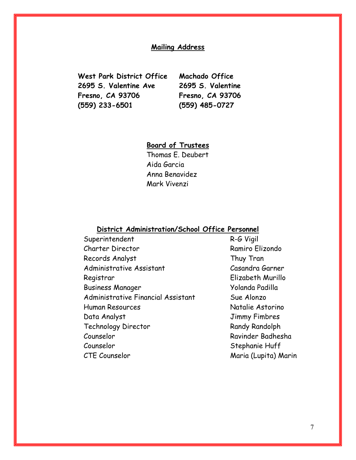#### Mailing Address

West Park District Office 2695 S. Valentine Ave Fresno, CA 93706 (559) 233-6501

Machado Office 2695 S. Valentine Fresno, CA 93706 (559) 485-0727

# Board of Trustees

Thomas E. Deubert Aida Garcia Anna Benavidez Mark Vivenzi

#### District Administration/School Office Personnel

- Superintendent R-G Vigil Charter Director Ramiro Elizondo Records Analyst Thuy Tran Administrative Assistant Casandra Garner Registrar Elizabeth Murillo Business Manager The Yolanda Padilla Administrative Financial Assistant Sue Alonzo Human Resources Natalie Astorino Data Analyst **Data Analyst** Jimmy Fimbres Technology Director Randy Randolph Counselor Ravinder Badhesha Counselor Stephanie Huff
- CTE Counselor Maria (Lupita) Marin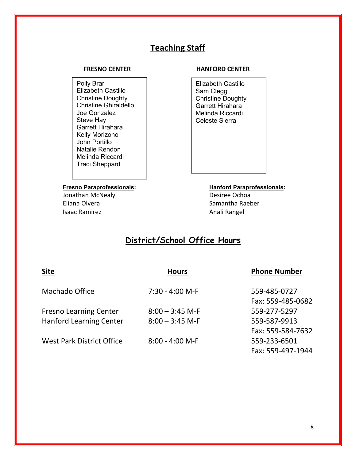# Teaching Staff

Polly Brar Elizabeth Castillo Christine Doughty Christine Ghiraldello Joe Gonzalez Steve Hay Garrett Hirahara Kelly Morizono John Portillo Natalie Rendon Melinda Riccardi Traci Sheppard

Jonathan McNealy **Desiree Ochoa** Eliana Olvera **Samantha Raeber** Samantha Raeber Isaac Ramirez **Anali Rangel** 

#### FRESNO CENTER HANFORD CENTER

Elizabeth Castillo Sam Clegg Christine Doughty Garrett Hirahara Melinda Riccardi Celeste Sierra

Fresno Paraprofessionals: Hanford Paraprofessionals:

# District/School Office Hours

| Machado Office                                                  | $7:30 - 4:00$ M-F                      |  |
|-----------------------------------------------------------------|----------------------------------------|--|
| <b>Fresno Learning Center</b><br><b>Hanford Learning Center</b> | $8:00 - 3:45$ M-F<br>$8:00 - 3:45$ M-F |  |
| <b>West Park District Office</b>                                | $8:00 - 4:00$ M-F                      |  |

#### Hours **Phone Number**

559-485-0727 Fax: 559-485-0682 Fresno Learning Center 8:00 – 3:45 M-F 559-277-5297 559-587-9913 Fax: 559-584-7632 559-233-6501 Fax: 559-497-1944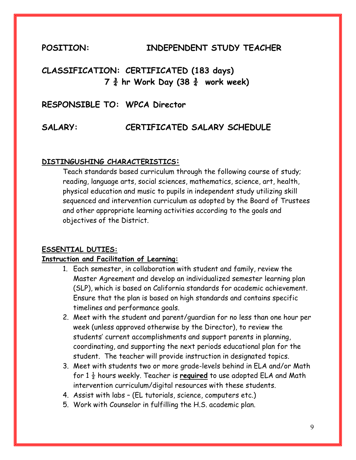# POSITION: INDEPENDENT STUDY TEACHER

# CLASSIFICATION: CERTIFICATED (183 days)  $7\frac{3}{4}$  hr Work Day (38 $\frac{3}{4}$  work week)

# RESPONSIBLE TO: WPCA Director

# SALARY: CERTIFICATED SALARY SCHEDULE

# DISTINGUSHING CHARACTERISTICS:

Teach standards based curriculum through the following course of study; reading, language arts, social sciences, mathematics, science, art, health, physical education and music to pupils in independent study utilizing skill sequenced and intervention curriculum as adopted by the Board of Trustees and other appropriate learning activities according to the goals and objectives of the District.

## ESSENTIAL DUTIES:

# Instruction and Facilitation of Learning:

- 1. Each semester, in collaboration with student and family, review the Master Agreement and develop an individualized semester learning plan (SLP), which is based on California standards for academic achievement. Ensure that the plan is based on high standards and contains specific timelines and performance goals.
- 2. Meet with the student and parent/guardian for no less than one hour per week (unless approved otherwise by the Director), to review the students' current accomplishments and support parents in planning, coordinating, and supporting the next periods educational plan for the student. The teacher will provide instruction in designated topics.
- 3. Meet with students two or more grade-levels behind in ELA and/or Math for  $1\frac{1}{2}$  hours weekly. Teacher is required to use adopted ELA and Math intervention curriculum/digital resources with these students.
- 4. Assist with labs (EL tutorials, science, computers etc.)
- 5. Work with Counselor in fulfilling the H.S. academic plan.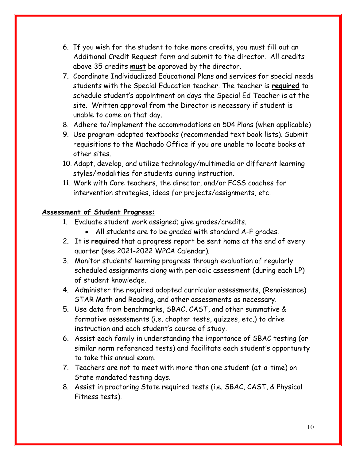- 6. If you wish for the student to take more credits, you must fill out an Additional Credit Request form and submit to the director. All credits above 35 credits **must** be approved by the director.
- 7. Coordinate Individualized Educational Plans and services for special needs students with the Special Education teacher. The teacher is required to schedule student's appointment on days the Special Ed Teacher is at the site. Written approval from the Director is necessary if student is unable to come on that day.
- 8. Adhere to/implement the accommodations on 504 Plans (when applicable)
- 9. Use program-adopted textbooks (recommended text book lists). Submit requisitions to the Machado Office if you are unable to locate books at other sites.
- 10. Adapt, develop, and utilize technology/multimedia or different learning styles/modalities for students during instruction.
- 11. Work with Core teachers, the director, and/or FCSS coaches for intervention strategies, ideas for projects/assignments, etc.

# Assessment of Student Progress:

- 1. Evaluate student work assigned; give grades/credits.
	- All students are to be graded with standard A-F grades.
- 2. It is required that a progress report be sent home at the end of every quarter (see 2021-2022 WPCA Calendar).
- 3. Monitor students' learning progress through evaluation of regularly scheduled assignments along with periodic assessment (during each LP) of student knowledge.
- 4. Administer the required adopted curricular assessments, (Renaissance) STAR Math and Reading, and other assessments as necessary.
- 5. Use data from benchmarks, SBAC, CAST, and other summative & formative assessments (i.e. chapter tests, quizzes, etc.) to drive instruction and each student's course of study.
- 6. Assist each family in understanding the importance of SBAC testing (or similar norm referenced tests) and facilitate each student's opportunity to take this annual exam.
- 7. Teachers are not to meet with more than one student (at-a-time) on State mandated testing days.
- 8. Assist in proctoring State required tests (i.e. SBAC, CAST, & Physical Fitness tests).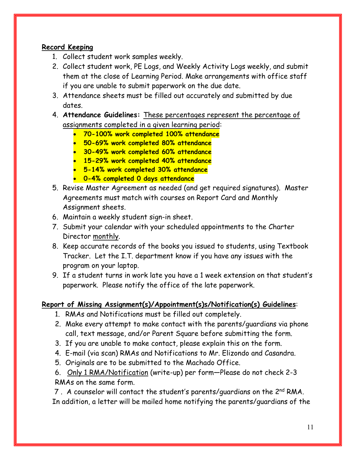# Record Keeping

- 1. Collect student work samples weekly.
- 2. Collect student work, PE Logs, and Weekly Activity Logs weekly, and submit them at the close of Learning Period. Make arrangements with office staff if you are unable to submit paperwork on the due date.
- 3. Attendance sheets must be filled out accurately and submitted by due dates.
- 4. Attendance Guidelines: These percentages represent the percentage of assignments completed in a given learning period:
	- 70-100% work completed 100% attendance
	- **50-69% work completed 80% attendance**
	- 30-49% work completed 60% attendance
	- 15-29% work completed 40% attendance
	- 5-14% work completed 30% attendance
	- 0-4% completed 0 days attendance
- 5. Revise Master Agreement as needed (and get required signatures). Master Agreements must match with courses on Report Card and Monthly Assignment sheets.
- 6. Maintain a weekly student sign-in sheet.
- 7. Submit your calendar with your scheduled appointments to the Charter Director monthly.
- 8. Keep accurate records of the books you issued to students, using Textbook Tracker. Let the I.T. department know if you have any issues with the program on your laptop.
- 9. If a student turns in work late you have a 1 week extension on that student's paperwork. Please notify the office of the late paperwork.

# Report of Missing Assignment(s)/Appointment(s)s/Notification(s) Guidelines:

- 1. RMAs and Notifications must be filled out completely.
- 2. Make every attempt to make contact with the parents/guardians via phone call, text message, and/or Parent Square before submitting the form.
- 3. If you are unable to make contact, please explain this on the form.
- 4. E-mail (via scan) RMAs and Notifications to Mr. Elizondo and Casandra.
- 5. Originals are to be submitted to the Machado Office.
- 6. Only 1 RMA/Notification (write-up) per form—Please do not check 2-3

RMAs on the same form.

7. A counselor will contact the student's parents/quardians on the 2<sup>nd</sup> RMA. In addition, a letter will be mailed home notifying the parents/guardians of the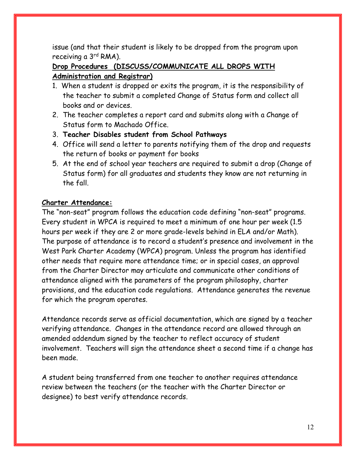issue (and that their student is likely to be dropped from the program upon receiving a 3<sup>rd</sup> RMA).

# Drop Procedures (DISCUSS/COMMUNICATE ALL DROPS WITH Administration and Registrar)

- 1. When a student is dropped or exits the program, it is the responsibility of the teacher to submit a completed Change of Status form and collect all books and or devices.
- 2. The teacher completes a report card and submits along with a Change of Status form to Machado Office.
- 3. Teacher Disables student from School Pathways
- 4. Office will send a letter to parents notifying them of the drop and requests the return of books or payment for books
- 5. At the end of school year teachers are required to submit a drop (Change of Status form) for all graduates and students they know are not returning in the fall.

# Charter Attendance:

The "non-seat" program follows the education code defining "non-seat" programs. Every student in WPCA is required to meet a minimum of one hour per week (1.5 hours per week if they are 2 or more grade-levels behind in ELA and/or Math). The purpose of attendance is to record a student's presence and involvement in the West Park Charter Academy (WPCA) program. Unless the program has identified other needs that require more attendance time; or in special cases, an approval from the Charter Director may articulate and communicate other conditions of attendance aligned with the parameters of the program philosophy, charter provisions, and the education code regulations. Attendance generates the revenue for which the program operates.

Attendance records serve as official documentation, which are signed by a teacher verifying attendance. Changes in the attendance record are allowed through an amended addendum signed by the teacher to reflect accuracy of student involvement. Teachers will sign the attendance sheet a second time if a change has been made.

A student being transferred from one teacher to another requires attendance review between the teachers (or the teacher with the Charter Director or designee) to best verify attendance records.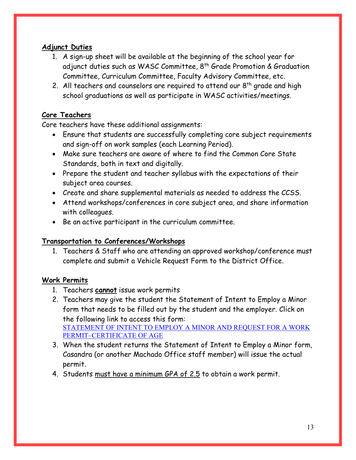# Adjunct Duties

- 1. A sign-up sheet will be available at the beginning of the school year for adjunct duties such as WASC Committee, 8<sup>th</sup> Grade Promotion & Graduation Committee, Curriculum Committee, Faculty Advisory Committee, etc.
- 2. All teachers and counselors are required to attend our  $8<sup>th</sup>$  grade and high school graduations as well as participate in WASC activities/meetings.

# Core Teachers

Core teachers have these additional assignments:

- Ensure that students are successfully completing core subject requirements and sign-off on work samples (each Learning Period).
- Make sure teachers are aware of where to find the Common Core State Standards, both in text and digitally.
- Prepare the student and teacher syllabus with the expectations of their subject area courses.
- Create and share supplemental materials as needed to address the CCSS.
- Attend workshops/conferences in core subject area, and share information with colleagues.
- Be an active participant in the curriculum committee.

# Transportation to Conferences/Workshops

1. Teachers & Staff who are attending an approved workshop/conference must complete and submit a Vehicle Request Form to the District Office.

# Work Permits

- 1. Teachers cannot issue work permits
- 2. Teachers may give the student the Statement of Intent to Employ a Minor form that needs to be filled out by the student and the employer. Click on the following link to access this form: STATEMENT OF INTENT TO EMPLOY A MINOR AND REQUEST FOR A WORK PERMIT–CERTIFICATE OF AGE
- 3. When the student returns the Statement of Intent to Employ a Minor form, Casandra (or another Machado Office staff member) will issue the actual permit.
- 4. Students must have a minimum GPA of 2.5 to obtain a work permit.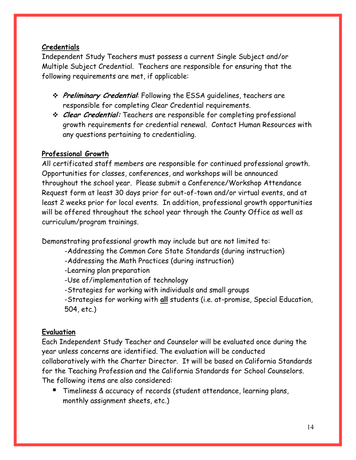# Credentials

Independent Study Teachers must possess a current Single Subject and/or Multiple Subject Credential. Teachers are responsible for ensuring that the following requirements are met, if applicable:

- \* Preliminary Credential: Following the ESSA guidelines, teachers are responsible for completing Clear Credential requirements.
- **Elear Credential:** Teachers are responsible for completing professional growth requirements for credential renewal. Contact Human Resources with any questions pertaining to credentialing.

# Professional Growth

All certificated staff members are responsible for continued professional growth. Opportunities for classes, conferences, and workshops will be announced throughout the school year. Please submit a Conference/Workshop Attendance Request form at least 30 days prior for out-of-town and/or virtual events, and at least 2 weeks prior for local events. In addition, professional growth opportunities will be offered throughout the school year through the County Office as well as curriculum/program trainings.

Demonstrating professional growth may include but are not limited to:

- -Addressing the Common Core State Standards (during instruction)
- -Addressing the Math Practices (during instruction)
- -Learning plan preparation
- -Use of/implementation of technology
- -Strategies for working with individuals and small groups
- -Strategies for working with all students (i.e. at-promise, Special Education, 504, etc.)

# Evaluation

Each Independent Study Teacher and Counselor will be evaluated once during the year unless concerns are identified. The evaluation will be conducted collaboratively with the Charter Director. It will be based on California Standards for the Teaching Profession and the California Standards for School Counselors. The following items are also considered:

**Timeliness & accuracy of records (student attendance, learning plans,** monthly assignment sheets, etc.)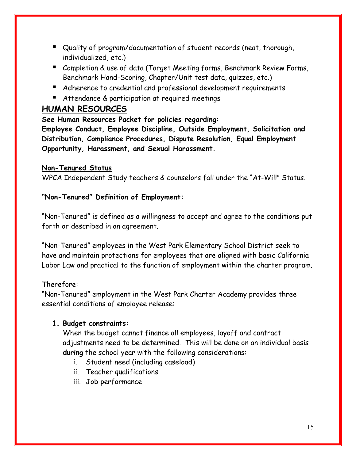- Quality of program/documentation of student records (neat, thorough, individualized, etc.)
- Completion & use of data (Target Meeting forms, Benchmark Review Forms, Benchmark Hand-Scoring, Chapter/Unit test data, quizzes, etc.)
- Adherence to credential and professional development requirements
- Attendance & participation at required meetings

# HUMAN RESOURCES

See Human Resources Packet for policies regarding:

Employee Conduct, Employee Discipline, Outside Employment, Solicitation and Distribution, Compliance Procedures, Dispute Resolution, Equal Employment Opportunity, Harassment, and Sexual Harassment.

# Non-Tenured Status

WPCA Independent Study teachers & counselors fall under the "At-Will" Status.

# "Non-Tenured" Definition of Employment:

"Non-Tenured" is defined as a willingness to accept and agree to the conditions put forth or described in an agreement.

"Non-Tenured" employees in the West Park Elementary School District seek to have and maintain protections for employees that are aligned with basic California Labor Law and practical to the function of employment within the charter program.

Therefore:

"Non-Tenured" employment in the West Park Charter Academy provides three essential conditions of employee release:

# 1. Budget constraints:

When the budget cannot finance all employees, layoff and contract adjustments need to be determined. This will be done on an individual basis during the school year with the following considerations:

- i. Student need (including caseload)
- ii. Teacher qualifications
- iii. Job performance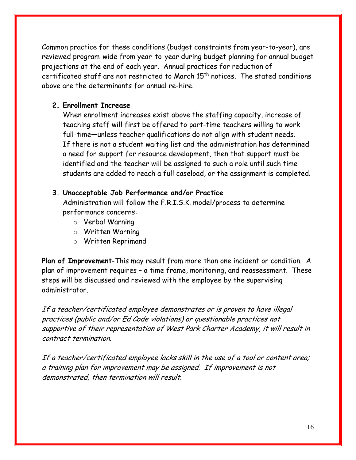Common practice for these conditions (budget constraints from year-to-year), are reviewed program-wide from year-to-year during budget planning for annual budget projections at the end of each year. Annual practices for reduction of certificated staff are not restricted to March 15<sup>th</sup> notices. The stated conditions above are the determinants for annual re-hire.

# 2. Enrollment Increase

When enrollment increases exist above the staffing capacity, increase of teaching staff will first be offered to part-time teachers willing to work full-time—unless teacher qualifications do not align with student needs. If there is not a student waiting list and the administration has determined a need for support for resource development, then that support must be identified and the teacher will be assigned to such a role until such time students are added to reach a full caseload, or the assignment is completed.

# 3. Unacceptable Job Performance and/or Practice

Administration will follow the F.R.I.S.K. model/process to determine performance concerns:

- o Verbal Warning
- o Written Warning
- o Written Reprimand

Plan of Improvement-This may result from more than one incident or condition. A plan of improvement requires – a time frame, monitoring, and reassessment. These steps will be discussed and reviewed with the employee by the supervising administrator.

If a teacher/certificated employee demonstrates or is proven to have illegal practices (public and/or Ed Code violations) or questionable practices not supportive of their representation of West Park Charter Academy, it will result in contract termination.

If a teacher/certificated employee lacks skill in the use of a tool or content area; a training plan for improvement may be assigned. If improvement is not demonstrated, then termination will result.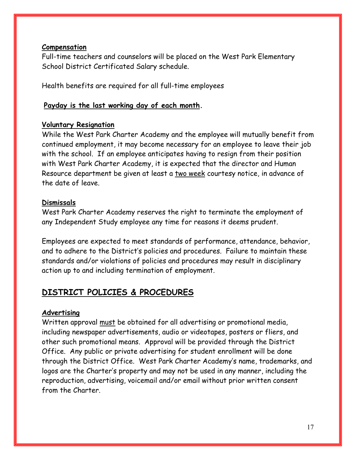# Compensation

Full-time teachers and counselors will be placed on the West Park Elementary School District Certificated Salary schedule.

Health benefits are required for all full-time employees

# Payday is the last working day of each month.

# Voluntary Resignation

While the West Park Charter Academy and the employee will mutually benefit from continued employment, it may become necessary for an employee to leave their job with the school. If an employee anticipates having to resign from their position with West Park Charter Academy, it is expected that the director and Human Resource department be given at least a two week courtesy notice, in advance of the date of leave.

# Dismissals

West Park Charter Academy reserves the right to terminate the employment of any Independent Study employee any time for reasons it deems prudent.

Employees are expected to meet standards of performance, attendance, behavior, and to adhere to the District's policies and procedures. Failure to maintain these standards and/or violations of policies and procedures may result in disciplinary action up to and including termination of employment.

# DISTRICT POLICIES & PROCEDURES

# Advertising

Written approval must be obtained for all advertising or promotional media, including newspaper advertisements, audio or videotapes, posters or fliers, and other such promotional means. Approval will be provided through the District Office. Any public or private advertising for student enrollment will be done through the District Office. West Park Charter Academy's name, trademarks, and logos are the Charter's property and may not be used in any manner, including the reproduction, advertising, voicemail and/or email without prior written consent from the Charter.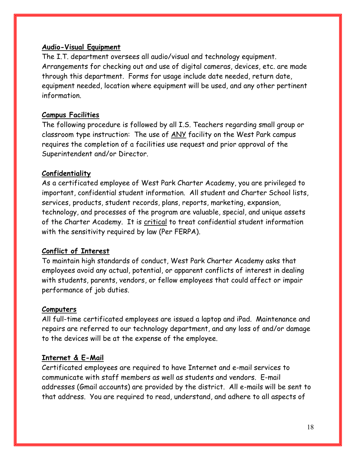# Audio-Visual Equipment

The I.T. department oversees all audio/visual and technology equipment. Arrangements for checking out and use of digital cameras, devices, etc. are made through this department. Forms for usage include date needed, return date, equipment needed, location where equipment will be used, and any other pertinent information.

# Campus Facilities

The following procedure is followed by all I.S. Teachers regarding small group or classroom type instruction: The use of ANY facility on the West Park campus requires the completion of a facilities use request and prior approval of the Superintendent and/or Director.

# Confidentiality

As a certificated employee of West Park Charter Academy, you are privileged to important, confidential student information. All student and Charter School lists, services, products, student records, plans, reports, marketing, expansion, technology, and processes of the program are valuable, special, and unique assets of the Charter Academy. It is critical to treat confidential student information with the sensitivity required by law (Per FERPA).

# Conflict of Interest

To maintain high standards of conduct, West Park Charter Academy asks that employees avoid any actual, potential, or apparent conflicts of interest in dealing with students, parents, vendors, or fellow employees that could affect or impair performance of job duties.

# **Computers**

All full-time certificated employees are issued a laptop and iPad. Maintenance and repairs are referred to our technology department, and any loss of and/or damage to the devices will be at the expense of the employee.

# Internet & E-Mail

Certificated employees are required to have Internet and e-mail services to communicate with staff members as well as students and vendors. E-mail addresses (Gmail accounts) are provided by the district. All e-mails will be sent to that address. You are required to read, understand, and adhere to all aspects of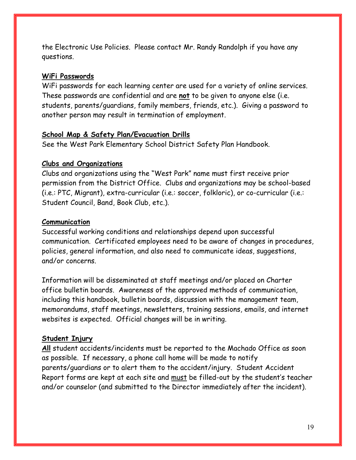the Electronic Use Policies. Please contact Mr. Randy Randolph if you have any questions.

#### WiFi Passwords

WiFi passwords for each learning center are used for a variety of online services. These passwords are confidential and are not to be given to anyone else (i.e. students, parents/guardians, family members, friends, etc.). Giving a password to another person may result in termination of employment.

### School Map & Safety Plan/Evacuation Drills

See the West Park Elementary School District Safety Plan Handbook.

#### Clubs and Organizations

Clubs and organizations using the "West Park" name must first receive prior permission from the District Office. Clubs and organizations may be school-based (i.e.: PTC, Migrant), extra-curricular (i.e.: soccer, folkloric), or co-curricular (i.e.: Student Council, Band, Book Club, etc.).

#### Communication

Successful working conditions and relationships depend upon successful communication. Certificated employees need to be aware of changes in procedures, policies, general information, and also need to communicate ideas, suggestions, and/or concerns.

Information will be disseminated at staff meetings and/or placed on Charter office bulletin boards. Awareness of the approved methods of communication, including this handbook, bulletin boards, discussion with the management team, memorandums, staff meetings, newsletters, training sessions, emails, and internet websites is expected. Official changes will be in writing.

#### Student Injury

All student accidents/incidents must be reported to the Machado Office as soon as possible. If necessary, a phone call home will be made to notify parents/guardians or to alert them to the accident/injury. Student Accident Report forms are kept at each site and must be filled-out by the student's teacher and/or counselor (and submitted to the Director immediately after the incident).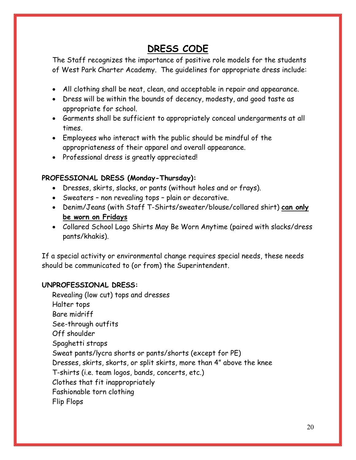# DRESS CODE

The Staff recognizes the importance of positive role models for the students of West Park Charter Academy. The guidelines for appropriate dress include:

- All clothing shall be neat, clean, and acceptable in repair and appearance.
- Dress will be within the bounds of decency, modesty, and good taste as appropriate for school.
- Garments shall be sufficient to appropriately conceal undergarments at all times.
- Employees who interact with the public should be mindful of the appropriateness of their apparel and overall appearance.
- Professional dress is greatly appreciated!

# PROFESSIONAL DRESS (Monday-Thursday):

- Dresses, skirts, slacks, or pants (without holes and or frays).
- Sweaters non revealing tops plain or decorative.
- Denim/Jeans (with Staff T-Shirts/sweater/blouse/collared shirt) can only be worn on Fridays
- Collared School Logo Shirts May Be Worn Anytime (paired with slacks/dress pants/khakis).

If a special activity or environmental change requires special needs, these needs should be communicated to (or from) the Superintendent.

# UNPROFESSIONAL DRESS:

Revealing (low cut) tops and dresses Halter tops Bare midriff See-through outfits Off shoulder Spaghetti straps Sweat pants/lycra shorts or pants/shorts (except for PE) Dresses, skirts, skorts, or split skirts, more than 4" above the knee T-shirts (i.e. team logos, bands, concerts, etc.) Clothes that fit inappropriately Fashionable torn clothing Flip Flops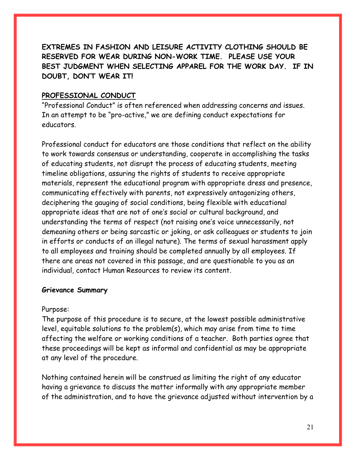EXTREMES IN FASHION AND LEISURE ACTIVITY CLOTHING SHOULD BE RESERVED FOR WEAR DURING NON-WORK TIME. PLEASE USE YOUR BEST JUDGMENT WHEN SELECTING APPAREL FOR THE WORK DAY. IF IN DOUBT, DON'T WEAR IT!

## PROFESSIONAL CONDUCT

"Professional Conduct" is often referenced when addressing concerns and issues. In an attempt to be "pro-active," we are defining conduct expectations for educators.

Professional conduct for educators are those conditions that reflect on the ability to work towards consensus or understanding, cooperate in accomplishing the tasks of educating students, not disrupt the process of educating students, meeting timeline obligations, assuring the rights of students to receive appropriate materials, represent the educational program with appropriate dress and presence, communicating effectively with parents, not expressively antagonizing others, deciphering the gauging of social conditions, being flexible with educational appropriate ideas that are not of one's social or cultural background, and understanding the terms of respect (not raising one's voice unnecessarily, not demeaning others or being sarcastic or joking, or ask colleagues or students to join in efforts or conducts of an illegal nature). The terms of sexual harassment apply to all employees and training should be completed annually by all employees. If there are areas not covered in this passage, and are questionable to you as an individual, contact Human Resources to review its content.

## Grievance Summary

## Purpose:

The purpose of this procedure is to secure, at the lowest possible administrative level, equitable solutions to the problem(s), which may arise from time to time affecting the welfare or working conditions of a teacher. Both parties agree that these proceedings will be kept as informal and confidential as may be appropriate at any level of the procedure.

Nothing contained herein will be construed as limiting the right of any educator having a grievance to discuss the matter informally with any appropriate member of the administration, and to have the grievance adjusted without intervention by a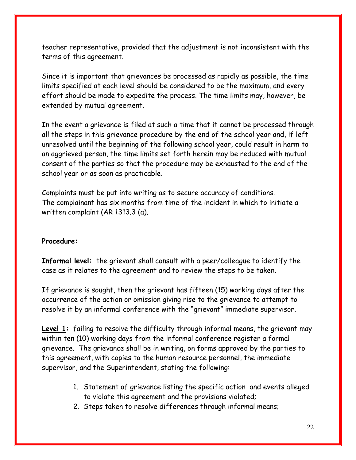teacher representative, provided that the adjustment is not inconsistent with the terms of this agreement.

Since it is important that grievances be processed as rapidly as possible, the time limits specified at each level should be considered to be the maximum, and every effort should be made to expedite the process. The time limits may, however, be extended by mutual agreement.

In the event a grievance is filed at such a time that it cannot be processed through all the steps in this grievance procedure by the end of the school year and, if left unresolved until the beginning of the following school year, could result in harm to an aggrieved person, the time limits set forth herein may be reduced with mutual consent of the parties so that the procedure may be exhausted to the end of the school year or as soon as practicable.

Complaints must be put into writing as to secure accuracy of conditions. The complainant has six months from time of the incident in which to initiate a written complaint (AR 1313.3 (a).

## Procedure:

Informal level: the grievant shall consult with a peer/colleague to identify the case as it relates to the agreement and to review the steps to be taken.

If grievance is sought, then the grievant has fifteen (15) working days after the occurrence of the action or omission giving rise to the grievance to attempt to resolve it by an informal conference with the "grievant" immediate supervisor.

Level 1: failing to resolve the difficulty through informal means, the grievant may within ten (10) working days from the informal conference register a formal grievance. The grievance shall be in writing, on forms approved by the parties to this agreement, with copies to the human resource personnel, the immediate supervisor, and the Superintendent, stating the following:

- 1. Statement of grievance listing the specific action and events alleged to violate this agreement and the provisions violated;
- 2. Steps taken to resolve differences through informal means;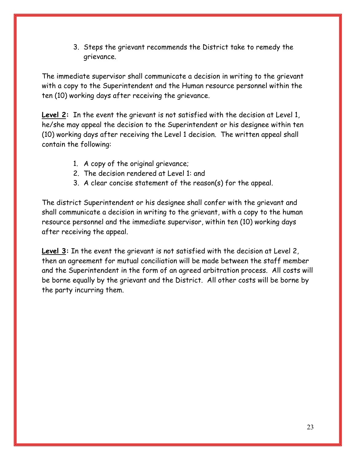3. Steps the grievant recommends the District take to remedy the grievance.

The immediate supervisor shall communicate a decision in writing to the grievant with a copy to the Superintendent and the Human resource personnel within the ten (10) working days after receiving the grievance.

**Level 2:** In the event the grievant is not satisfied with the decision at Level 1, he/she may appeal the decision to the Superintendent or his designee within ten (10) working days after receiving the Level 1 decision. The written appeal shall contain the following:

- 1. A copy of the original grievance;
- 2. The decision rendered at Level 1: and
- 3. A clear concise statement of the reason(s) for the appeal.

The district Superintendent or his designee shall confer with the grievant and shall communicate a decision in writing to the grievant, with a copy to the human resource personnel and the immediate supervisor, within ten (10) working days after receiving the appeal.

Level 3: In the event the grievant is not satisfied with the decision at Level 2, then an agreement for mutual conciliation will be made between the staff member and the Superintendent in the form of an agreed arbitration process. All costs will be borne equally by the grievant and the District. All other costs will be borne by the party incurring them.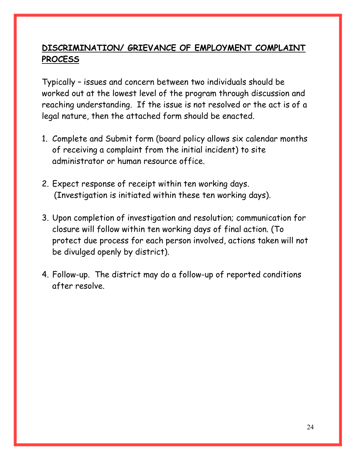# DISCRIMINATION/ GRIEVANCE OF EMPLOYMENT COMPLAINT PROCESS

Typically – issues and concern between two individuals should be worked out at the lowest level of the program through discussion and reaching understanding. If the issue is not resolved or the act is of a legal nature, then the attached form should be enacted.

- 1. Complete and Submit form (board policy allows six calendar months of receiving a complaint from the initial incident) to site administrator or human resource office.
- 2. Expect response of receipt within ten working days. (Investigation is initiated within these ten working days).
- 3. Upon completion of investigation and resolution; communication for closure will follow within ten working days of final action. (To protect due process for each person involved, actions taken will not be divulged openly by district).
- 4. Follow-up. The district may do a follow-up of reported conditions after resolve.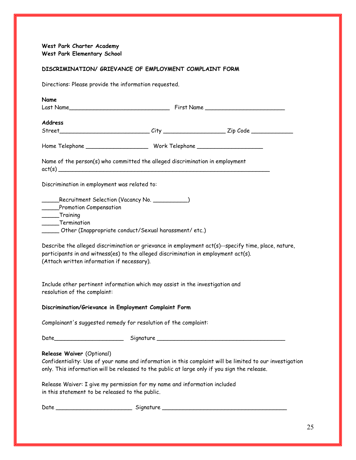West Park Charter Academy West Park Elementary School

#### DISCRIMINATION/ GRIEVANCE OF EMPLOYMENT COMPLAINT FORM

Directions: Please provide the information requested.

| Name                                                                                                                                                                                                                                     |  |  |  |  |
|------------------------------------------------------------------------------------------------------------------------------------------------------------------------------------------------------------------------------------------|--|--|--|--|
| Address                                                                                                                                                                                                                                  |  |  |  |  |
|                                                                                                                                                                                                                                          |  |  |  |  |
|                                                                                                                                                                                                                                          |  |  |  |  |
| Name of the person(s) who committed the alleged discrimination in employment<br>act(s)                                                                                                                                                   |  |  |  |  |
| Discrimination in employment was related to:                                                                                                                                                                                             |  |  |  |  |
| Recruitment Selection (Vacancy No. ___________)<br>Promotion Compensation<br>Training<br>_____Termination<br>______ Other (Inappropriate conduct/Sexual harassment/ etc.)                                                                |  |  |  |  |
| Describe the alleged discrimination or grievance in employment act(s)--specify time, place, nature,<br>participants in and witness(es) to the alleged discrimination in employment act(s).<br>(Attach written information if necessary). |  |  |  |  |
| Include other pertinent information which may assist in the investigation and<br>resolution of the complaint:                                                                                                                            |  |  |  |  |
| Discrimination/Grievance in Employment Complaint Form                                                                                                                                                                                    |  |  |  |  |
| Complainant's suggested remedy for resolution of the complaint:                                                                                                                                                                          |  |  |  |  |
|                                                                                                                                                                                                                                          |  |  |  |  |
| Release Waiver (Optional)<br>Confidentiality: Use of your name and information in this complaint will be limited to our investigation<br>only. This information will be released to the public at large only if you sign the release.    |  |  |  |  |
| Release Waiver: I give my permission for my name and information included<br>in this statement to be released to the public.                                                                                                             |  |  |  |  |
|                                                                                                                                                                                                                                          |  |  |  |  |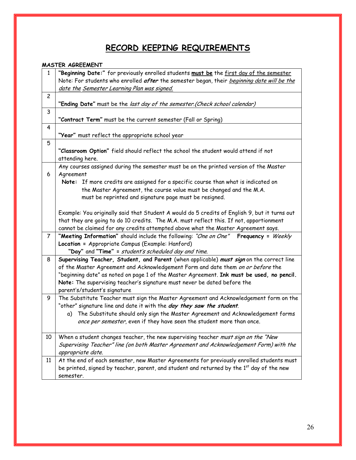# RECORD KEEPING REQUIREMENTS

#### MASTER AGREEMENT

| $\mathbf{1}$   | "Beginning Date:" for previously enrolled students must be the first day of the semester<br>Note: For students who enrolled after the semester began, their beginning date will be the   |
|----------------|------------------------------------------------------------------------------------------------------------------------------------------------------------------------------------------|
|                | date the Semester Learning Plan was signed.                                                                                                                                              |
| $\overline{c}$ |                                                                                                                                                                                          |
|                | "Ending Date" must be the last day of the semester. (Check school calendar)                                                                                                              |
| 3              |                                                                                                                                                                                          |
|                | "Contract Term" must be the current semester (Fall or Spring)                                                                                                                            |
| 4              |                                                                                                                                                                                          |
|                | "Year" must reflect the appropriate school year                                                                                                                                          |
| 5              |                                                                                                                                                                                          |
|                | "Classroom Option" field should reflect the school the student would attend if not<br>attending here.                                                                                    |
| 6              | Any courses assigned during the semester must be on the printed version of the Master<br>Agreement                                                                                       |
|                | Note: If more credits are assigned for a specific course than what is indicated on                                                                                                       |
|                | the Master Agreement, the course value must be changed and the M.A.                                                                                                                      |
|                | must be reprinted and signature page must be resigned.                                                                                                                                   |
|                |                                                                                                                                                                                          |
|                | Example: You originally said that Student A would do 5 credits of English 9, but it turns out<br>that they are going to do 10 credits. The M.A. must reflect this. If not, apportionment |
|                | cannot be claimed for any credits attempted above what the Master Agreement says.                                                                                                        |
| $\overline{7}$ | "Meeting Information" should include the following: "One on One"<br>Frequency = Weekly                                                                                                   |
|                | Location = Appropriate Campus (Example: Hanford)                                                                                                                                         |
|                | "Day" and "Time" = student's scheduled day and time.                                                                                                                                     |
| 8              | Supervising Teacher, Student, and Parent (when applicable) must sign on the correct line                                                                                                 |
|                | of the Master Agreement and Acknowledgement Form and date them on or before the                                                                                                          |
|                | "beginning date" as noted on page 1 of the Master Agreement. Ink must be used, no pencil.                                                                                                |
|                | Note: The supervising teacher's signature must never be dated before the                                                                                                                 |
|                | parent's/student's signature                                                                                                                                                             |
| 9              | The Substitute Teacher must sign the Master Agreement and Acknowledgement form on the                                                                                                    |
|                | "other" signature line and date it with the day they saw the student.                                                                                                                    |
|                | The Substitute should only sign the Master Agreement and Acknowledgement forms<br>a)                                                                                                     |
|                | once per semester, even if they have seen the student more than once.                                                                                                                    |
|                |                                                                                                                                                                                          |
| 10             | When a student changes teacher, the new supervising teacher must sign on the "New                                                                                                        |
|                | Supervising Teacher" line (on both Master Agreement and Acknowledgement Form) with the                                                                                                   |
|                | appropriate date.                                                                                                                                                                        |
| 11             | At the end of each semester, new Master Agreements for previously enrolled students must                                                                                                 |
|                | be printed, signed by teacher, parent, and student and returned by the 1 <sup>st</sup> day of the new                                                                                    |
|                | semester.                                                                                                                                                                                |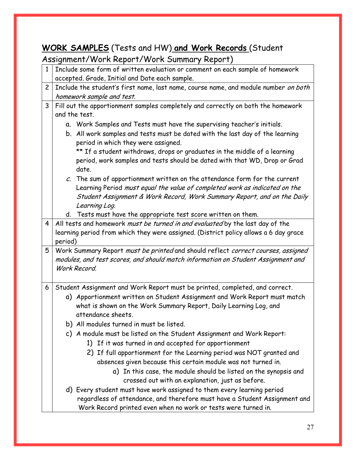# WORK SAMPLES (Tests and HW) and Work Records (Student

# Assignment/Work Report/Work Summary Report)

| $\mathbf{1}$   | Include some form of written evaluation or comment on each sample of homework                                        |  |  |  |
|----------------|----------------------------------------------------------------------------------------------------------------------|--|--|--|
|                | accepted. Grade, Initial and Date each sample.                                                                       |  |  |  |
| $\overline{2}$ | Include the student's first name, last name, course name, and module number on both                                  |  |  |  |
|                | homework sample and test.                                                                                            |  |  |  |
| 3              | Fill out the apportionment samples completely and correctly on both the homework                                     |  |  |  |
|                | and the test.                                                                                                        |  |  |  |
|                | a. Work Samples and Tests must have the supervising teacher's initials.                                              |  |  |  |
|                | b. All work samples and tests must be dated with the last day of the learning<br>period in which they were assigned. |  |  |  |
|                | ** If a student withdraws, drops or graduates in the middle of a learning                                            |  |  |  |
|                | period, work samples and tests should be dated with that WD, Drop or Grad                                            |  |  |  |
|                | date.                                                                                                                |  |  |  |
|                | $c$ . The sum of apportionment written on the attendance form for the current                                        |  |  |  |
|                | Learning Period must equal the value of completed work as indicated on the                                           |  |  |  |
|                | Student Assignment & Work Record, Work Summary Report, and on the Daily                                              |  |  |  |
|                | Learning Log.                                                                                                        |  |  |  |
|                | d. Tests must have the appropriate test score written on them.                                                       |  |  |  |
| 4              | All tests and homework must be turned in and evaluated by the last day of the                                        |  |  |  |
|                | learning period from which they were assigned. (District policy allows a 6 day grace                                 |  |  |  |
|                | period)                                                                                                              |  |  |  |
| 5              | Work Summary Report must be printed and should reflect correct courses, assigned                                     |  |  |  |
|                | modules, and test scores, and should match information on Student Assignment and                                     |  |  |  |
|                | Work Record.                                                                                                         |  |  |  |
|                |                                                                                                                      |  |  |  |
| 6              | Student Assignment and Work Report must be printed, completed, and correct.                                          |  |  |  |
|                | a) Apportionment written on Student Assignment and Work Report must match                                            |  |  |  |
|                | what is shown on the Work Summary Report, Daily Learning Log, and                                                    |  |  |  |
|                | attendance sheets.                                                                                                   |  |  |  |
|                | b) All modules turned in must be listed.                                                                             |  |  |  |
|                | c) A module must be listed on the Student Assignment and Work Report:                                                |  |  |  |
|                | 1) If it was turned in and accepted for apportionment                                                                |  |  |  |
|                | 2) If full apportionment for the Learning period was NOT granted and                                                 |  |  |  |
|                | absences given because this certain module was not turned in.                                                        |  |  |  |
|                | a) In this case, the module should be listed on the synopsis and                                                     |  |  |  |
|                | crossed out with an explanation, just as before.                                                                     |  |  |  |
|                |                                                                                                                      |  |  |  |
|                |                                                                                                                      |  |  |  |
|                | regardless of attendance, and therefore must have a Student Assignment and                                           |  |  |  |
|                | d) Every student must have work assigned to them every learning period                                               |  |  |  |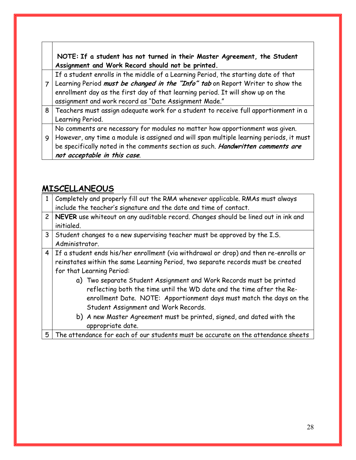NOTE: If a student has not turned in their Master Agreement, the Student Assignment and Work Record should not be printed.

If a student enrolls in the middle of a Learning Period, the starting date of that

- 7 | Learning Period *must be changed in the "Info" tab* on Report Writer to show the enrollment day as the first day of that learning period. It will show up on the assignment and work record as "Date Assignment Made."
- 8 Teachers must assign adequate work for a student to receive full apportionment in a Learning Period.

No comments are necessary for modules no matter how apportionment was given.

9 However, any time a module is assigned and will span multiple learning periods, it must be specifically noted in the comments section as such. Handwritten comments are not acceptable in this case.

# MISCELLANEOUS

| 1              | Completely and properly fill out the RMA whenever applicable. RMAs must always         |
|----------------|----------------------------------------------------------------------------------------|
|                | include the teacher's signature and the date and time of contact.                      |
|                | 2   NEVER use whiteout on any auditable record. Changes should be lined out in ink and |
|                | initialed.                                                                             |
| 3 <sup>1</sup> | Student changes to a new supervising teacher must be approved by the I.S.              |
|                | Administrator.                                                                         |
|                | 4 If a student ends his/her enrollment (via withdrawal or drop) and then re-enrolls or |
|                | reinstates within the same Learning Period, two separate records must be created       |
|                | for that Learning Period:                                                              |
|                | a) Two separate Student Assignment and Work Records must be printed                    |
|                | reflecting both the time until the WD date and the time after the Re-                  |
|                | enrollment Date. NOTE: Apportionment days must match the days on the                   |
|                | Student Assignment and Work Records.                                                   |
|                | b) A new Master Agreement must be printed, signed, and dated with the                  |
|                | appropriate date.                                                                      |
| 5              | The attendance for each of our students must be accurate on the attendance sheets      |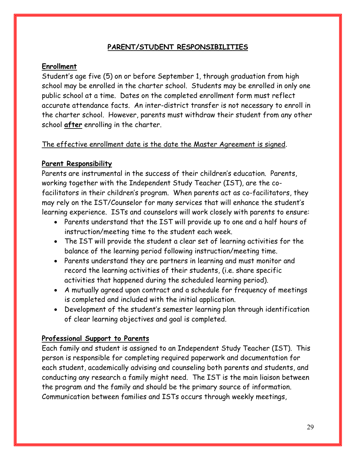# PARENT/STUDENT RESPONSIBILITIES

# Enrollment

Student's age five (5) on or before September 1, through graduation from high school may be enrolled in the charter school. Students may be enrolled in only one public school at a time. Dates on the completed enrollment form must reflect accurate attendance facts. An inter-district transfer is not necessary to enroll in the charter school. However, parents must withdraw their student from any other school after enrolling in the charter.

# The effective enrollment date is the date the Master Agreement is signed.

# Parent Responsibility

Parents are instrumental in the success of their children's education. Parents, working together with the Independent Study Teacher (IST), are the cofacilitators in their children's program. When parents act as co-facilitators, they may rely on the IST/Counselor for many services that will enhance the student's learning experience. ISTs and counselors will work closely with parents to ensure:

- Parents understand that the IST will provide up to one and a half hours of instruction/meeting time to the student each week.
- The IST will provide the student a clear set of learning activities for the balance of the learning period following instruction/meeting time.
- Parents understand they are partners in learning and must monitor and record the learning activities of their students, (i.e. share specific activities that happened during the scheduled learning period).
- A mutually agreed upon contract and a schedule for frequency of meetings is completed and included with the initial application.
- Development of the student's semester learning plan through identification of clear learning objectives and goal is completed.

# Professional Support to Parents

Each family and student is assigned to an Independent Study Teacher (IST). This person is responsible for completing required paperwork and documentation for each student, academically advising and counseling both parents and students, and conducting any research a family might need. The IST is the main liaison between the program and the family and should be the primary source of information. Communication between families and ISTs occurs through weekly meetings,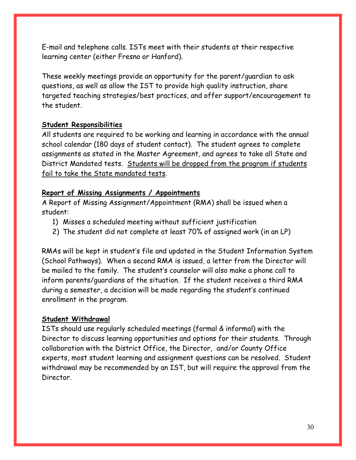E-mail and telephone calls. ISTs meet with their students at their respective learning center (either Fresno or Hanford).

These weekly meetings provide an opportunity for the parent/guardian to ask questions, as well as allow the IST to provide high quality instruction, share targeted teaching strategies/best practices, and offer support/encouragement to the student.

# Student Responsibilities

All students are required to be working and learning in accordance with the annual school calendar (180 days of student contact). The student agrees to complete assignments as stated in the Master Agreement, and agrees to take all State and District Mandated tests. Students will be dropped from the program if students fail to take the State mandated tests.

# Report of Missing Assignments / Appointments

A Report of Missing Assignment/Appointment (RMA) shall be issued when a student:

- 1) Misses a scheduled meeting without sufficient justification
- 2) The student did not complete at least 70% of assigned work (in an LP)

RMAs will be kept in student's file and updated in the Student Information System (School Pathways). When a second RMA is issued, a letter from the Director will be mailed to the family. The student's counselor will also make a phone call to inform parents/guardians of the situation. If the student receives a third RMA during a semester, a decision will be made regarding the student's continued enrollment in the program.

## Student Withdrawal

ISTs should use regularly scheduled meetings (formal & informal) with the Director to discuss learning opportunities and options for their students. Through collaboration with the District Office, the Director, and/or County Office experts, most student learning and assignment questions can be resolved. Student withdrawal may be recommended by an IST, but will require the approval from the Director.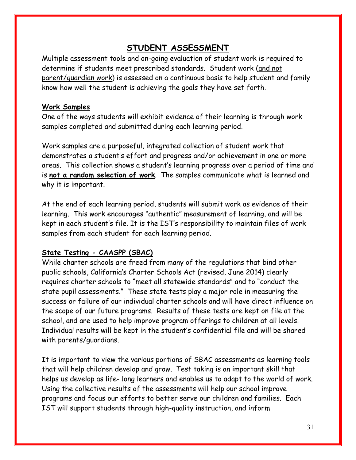# STUDENT ASSESSMENT

Multiple assessment tools and on-going evaluation of student work is required to determine if students meet prescribed standards. Student work (and not parent/guardian work) is assessed on a continuous basis to help student and family know how well the student is achieving the goals they have set forth.

# Work Samples

One of the ways students will exhibit evidence of their learning is through work samples completed and submitted during each learning period.

Work samples are a purposeful, integrated collection of student work that demonstrates a student's effort and progress and/or achievement in one or more areas. This collection shows a student's learning progress over a period of time and is not a random selection of work. The samples communicate what is learned and why it is important.

At the end of each learning period, students will submit work as evidence of their learning. This work encourages "authentic" measurement of learning, and will be kept in each student's file. It is the IST's responsibility to maintain files of work samples from each student for each learning period.

# State Testing - CAASPP (SBAC)

While charter schools are freed from many of the regulations that bind other public schools, California's Charter Schools Act (revised, June 2014) clearly requires charter schools to "meet all statewide standards" and to "conduct the state pupil assessments." These state tests play a major role in measuring the success or failure of our individual charter schools and will have direct influence on the scope of our future programs. Results of these tests are kept on file at the school, and are used to help improve program offerings to children at all levels. Individual results will be kept in the student's confidential file and will be shared with parents/guardians.

It is important to view the various portions of SBAC assessments as learning tools that will help children develop and grow. Test taking is an important skill that helps us develop as life- long learners and enables us to adapt to the world of work. Using the collective results of the assessments will help our school improve programs and focus our efforts to better serve our children and families. Each IST will support students through high-quality instruction, and inform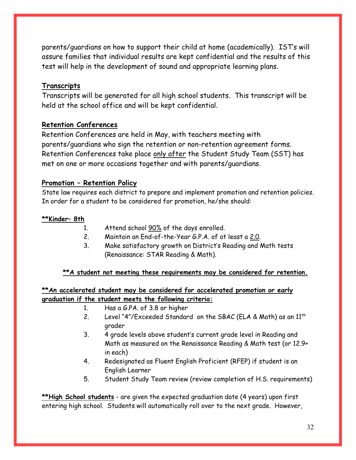parents/guardians on how to support their child at home (academically). IST's will assure families that individual results are kept confidential and the results of this test will help in the development of sound and appropriate learning plans.

# Transcripts

Transcripts will be generated for all high school students. This transcript will be held at the school office and will be kept confidential.

## Retention Conferences

Retention Conferences are held in May, with teachers meeting with parents/guardians who sign the retention or non-retention agreement forms. Retention Conferences take place only after the Student Study Team (SST) has met on one or more occasions together and with parents/guardians.

# Promotion – Retention Policy

State law requires each district to prepare and implement promotion and retention policies. In order for a student to be considered for promotion, he/she should:

## \*\*Kinder– 8th

- 1. Attend school 90% of the days enrolled.
- 2. Maintain an End-of-the-Year G.P.A. of at least a 2.0.
- 3. Make satisfactory growth on District's Reading and Math tests (Renaissance: STAR Reading & Math).

## \*\*A student not meeting these requirements may be considered for retention.

# \*\*An accelerated student may be considered for accelerated promotion or early graduation if the student meets the following criteria:

- 1. Has a G.PA. of 3.8 or higher
- 2. Level "4"/Exceeded Standard on the SBAC (ELA & Math) as an 11<sup>th</sup> grader
- 3. 4 grade levels above student's current grade level in Reading and Math as measured on the Renaissance Reading & Math test (or 12.9+ in each)
- 4. Redesignated as Fluent English Proficient (RFEP) if student is an English Learner
- 5. Student Study Team review (review completion of H.S. requirements)

\*\*High School students - are given the expected graduation date (4 years) upon first entering high school. Students will automatically roll over to the next grade. However,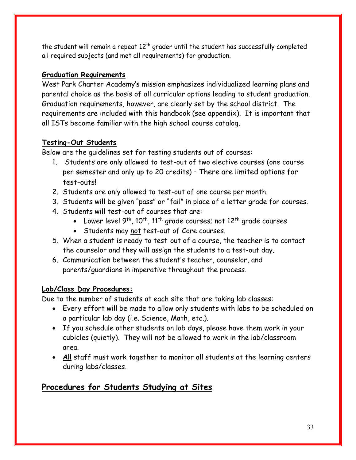the student will remain a repeat  $12<sup>th</sup>$  grader until the student has successfully completed all required subjects (and met all requirements) for graduation.

# Graduation Requirements

West Park Charter Academy's mission emphasizes individualized learning plans and parental choice as the basis of all curricular options leading to student graduation. Graduation requirements, however, are clearly set by the school district. The requirements are included with this handbook (see appendix). It is important that all ISTs become familiar with the high school course catalog.

# Testing-Out Students

Below are the guidelines set for testing students out of courses:

- 1. Students are only allowed to test-out of two elective courses (one course per semester and only up to 20 credits) – There are limited options for test-outs!
- 2. Students are only allowed to test-out of one course per month.
- 3. Students will be given "pass" or "fail" in place of a letter grade for courses.
- 4. Students will test-out of courses that are:
	- Lower level  $9^{th}$ ,  $10^{th}$ ,  $11^{th}$  grade courses; not  $12^{th}$  grade courses
	- Students may not test-out of Core courses.
- 5. When a student is ready to test-out of a course, the teacher is to contact the counselor and they will assign the students to a test-out day.
- 6. Communication between the student's teacher, counselor, and parents/guardians in imperative throughout the process.

# Lab/Class Day Procedures:

Due to the number of students at each site that are taking lab classes:

- Every effort will be made to allow only students with labs to be scheduled on a particular lab day (i.e. Science, Math, etc.).
- If you schedule other students on lab days, please have them work in your cubicles (quietly). They will not be allowed to work in the lab/classroom area.
- All staff must work together to monitor all students at the learning centers during labs/classes.

# Procedures for Students Studying at Sites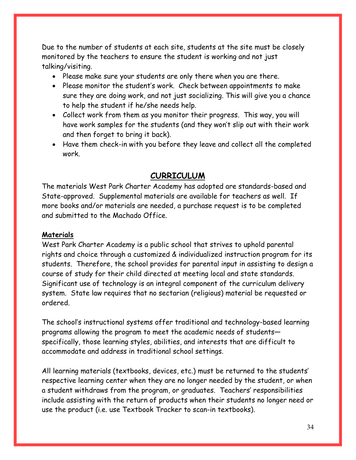Due to the number of students at each site, students at the site must be closely monitored by the teachers to ensure the student is working and not just talking/visiting.

- Please make sure your students are only there when you are there.
- Please monitor the student's work. Check between appointments to make sure they are doing work, and not just socializing. This will give you a chance to help the student if he/she needs help.
- Collect work from them as you monitor their progress. This way, you will have work samples for the students (and they won't slip out with their work and then forget to bring it back).
- Have them check-in with you before they leave and collect all the completed work.

# CURRICULUM

The materials West Park Charter Academy has adopted are standards-based and State-approved. Supplemental materials are available for teachers as well. If more books and/or materials are needed, a purchase request is to be completed and submitted to the Machado Office.

## Materials

West Park Charter Academy is a public school that strives to uphold parental rights and choice through a customized & individualized instruction program for its students. Therefore, the school provides for parental input in assisting to design a course of study for their child directed at meeting local and state standards. Significant use of technology is an integral component of the curriculum delivery system. State law requires that no sectarian (religious) material be requested or ordered.

The school's instructional systems offer traditional and technology-based learning programs allowing the program to meet the academic needs of students specifically, those learning styles, abilities, and interests that are difficult to accommodate and address in traditional school settings.

All learning materials (textbooks, devices, etc.) must be returned to the students' respective learning center when they are no longer needed by the student, or when a student withdraws from the program, or graduates. Teachers' responsibilities include assisting with the return of products when their students no longer need or use the product (i.e. use Textbook Tracker to scan-in textbooks).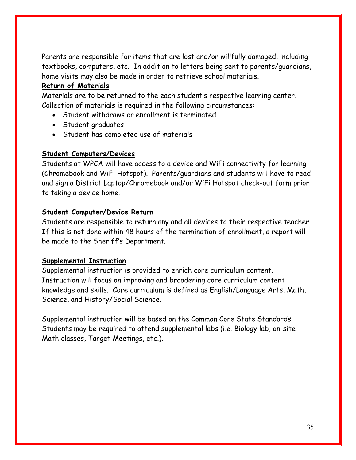Parents are responsible for items that are lost and/or willfully damaged, including textbooks, computers, etc. In addition to letters being sent to parents/guardians, home visits may also be made in order to retrieve school materials.

# Return of Materials

Materials are to be returned to the each student's respective learning center. Collection of materials is required in the following circumstances:

- Student withdraws or enrollment is terminated
- Student graduates
- Student has completed use of materials

# Student Computers/Devices

Students at WPCA will have access to a device and WiFi connectivity for learning (Chromebook and WiFi Hotspot). Parents/guardians and students will have to read and sign a District Laptop/Chromebook and/or WiFi Hotspot check-out form prior to taking a device home.

# Student Computer/Device Return

Students are responsible to return any and all devices to their respective teacher. If this is not done within 48 hours of the termination of enrollment, a report will be made to the Sheriff's Department.

# Supplemental Instruction

Supplemental instruction is provided to enrich core curriculum content. Instruction will focus on improving and broadening core curriculum content knowledge and skills. Core curriculum is defined as English/Language Arts, Math, Science, and History/Social Science.

Supplemental instruction will be based on the Common Core State Standards. Students may be required to attend supplemental labs (i.e. Biology lab, on-site Math classes, Target Meetings, etc.).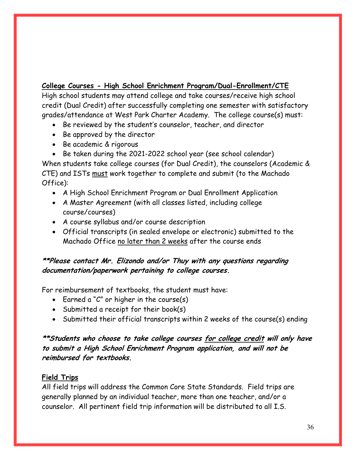College Courses - High School Enrichment Program/Dual-Enrollment/CTE

High school students may attend college and take courses/receive high school credit (Dual Credit) after successfully completing one semester with satisfactory grades/attendance at West Park Charter Academy. The college course(s) must:

- Be reviewed by the student's counselor, teacher, and director
- Be approved by the director
- Be academic & rigorous
- Be taken during the 2021-2022 school year (see school calendar)

When students take college courses (for Dual Credit), the counselors (Academic & CTE) and ISTs must work together to complete and submit (to the Machado Office):

- A High School Enrichment Program or Dual Enrollment Application
- A Master Agreement (with all classes listed, including college course/courses)
- A course syllabus and/or course description
- Official transcripts (in sealed envelope or electronic) submitted to the Machado Office no later than 2 weeks after the course ends

# \*\*Please contact Mr. Elizondo and/or Thuy with any questions regarding documentation/paperwork pertaining to college courses.

For reimbursement of textbooks, the student must have:

- Earned a "C" or higher in the course(s)
- Submitted a receipt for their book(s)
- Submitted their official transcripts within 2 weeks of the course(s) ending

# \*\*Students who choose to take college courses for college credit will only have to submit a High School Enrichment Program application, and will not be reimbursed for textbooks.

# Field Trips

All field trips will address the Common Core State Standards. Field trips are generally planned by an individual teacher, more than one teacher, and/or a counselor. All pertinent field trip information will be distributed to all I.S.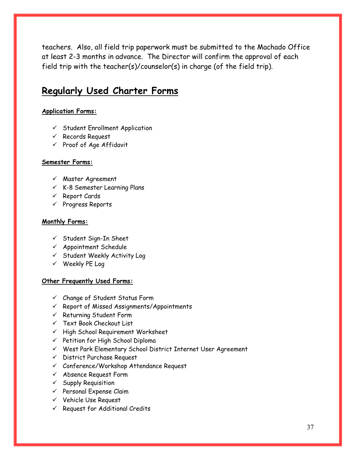teachers. Also, all field trip paperwork must be submitted to the Machado Office at least 2-3 months in advance. The Director will confirm the approval of each field trip with the teacher(s)/counselor(s) in charge (of the field trip).

# Regularly Used Charter Forms

#### Application Forms:

- $\checkmark$  Student Enrollment Application
- $\checkmark$  Records Request
- $\checkmark$  Proof of Age Affidavit

#### Semester Forms:

- $\checkmark$  Master Agreement
- $\checkmark$  K-8 Semester Learning Plans
- $\checkmark$  Report Cards
- $\checkmark$  Progress Reports

#### Monthly Forms:

- $\checkmark$  Student Sign-In Sheet
- $\checkmark$  Appointment Schedule
- $\checkmark$  Student Weekly Activity Log
- $V$  Weekly PE Log

#### Other Frequently Used Forms:

- $\checkmark$  Change of Student Status Form
- $\checkmark$  Report of Missed Assignments/Appointments
- $\checkmark$  Returning Student Form
- $\checkmark$  Text Book Checkout List
- $\checkmark$  High School Requirement Worksheet
- $\checkmark$  Petition for High School Diploma
- West Park Elementary School District Internet User Agreement
- $\checkmark$  District Purchase Request
- Conference/Workshop Attendance Request
- $\checkmark$  Absence Request Form
- $\checkmark$  Supply Requisition
- $\checkmark$  Personal Expense Claim
- $V$  Vehicle Use Request
- $\checkmark$  Request for Additional Credits